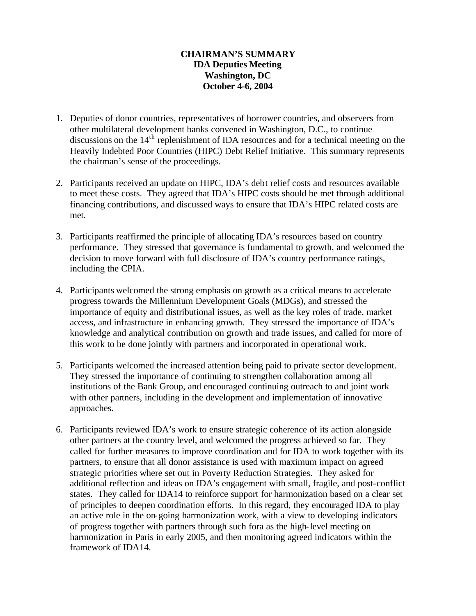## **CHAIRMAN'S SUMMARY IDA Deputies Meeting Washington, DC October 4-6, 2004**

- 1. Deputies of donor countries, representatives of borrower countries, and observers from other multilateral development banks convened in Washington, D.C., to continue discussions on the 14<sup>th</sup> replenishment of IDA resources and for a technical meeting on the Heavily Indebted Poor Countries (HIPC) Debt Relief Initiative. This summary represents the chairman's sense of the proceedings.
- 2. Participants received an update on HIPC, IDA's debt relief costs and resources available to meet these costs. They agreed that IDA's HIPC costs should be met through additional financing contributions, and discussed ways to ensure that IDA's HIPC related costs are met.
- 3. Participants reaffirmed the principle of allocating IDA's resources based on country performance. They stressed that governance is fundamental to growth, and welcomed the decision to move forward with full disclosure of IDA's country performance ratings, including the CPIA.
- 4. Participants welcomed the strong emphasis on growth as a critical means to accelerate progress towards the Millennium Development Goals (MDGs), and stressed the importance of equity and distributional issues, as well as the key roles of trade, market access, and infrastructure in enhancing growth. They stressed the importance of IDA's knowledge and analytical contribution on growth and trade issues, and called for more of this work to be done jointly with partners and incorporated in operational work.
- 5. Participants welcomed the increased attention being paid to private sector development. They stressed the importance of continuing to strengthen collaboration among all institutions of the Bank Group, and encouraged continuing outreach to and joint work with other partners, including in the development and implementation of innovative approaches.
- 6. Participants reviewed IDA's work to ensure strategic coherence of its action alongside other partners at the country level, and welcomed the progress achieved so far. They called for further measures to improve coordination and for IDA to work together with its partners, to ensure that all donor assistance is used with maximum impact on agreed strategic priorities where set out in Poverty Reduction Strategies. They asked for additional reflection and ideas on IDA's engagement with small, fragile, and post-conflict states. They called for IDA14 to reinforce support for harmonization based on a clear set of principles to deepen coordination efforts. In this regard, they encouraged IDA to play an active role in the on-going harmonization work, with a view to developing indicators of progress together with partners through such fora as the high-level meeting on harmonization in Paris in early 2005, and then monitoring agreed indicators within the framework of IDA14.